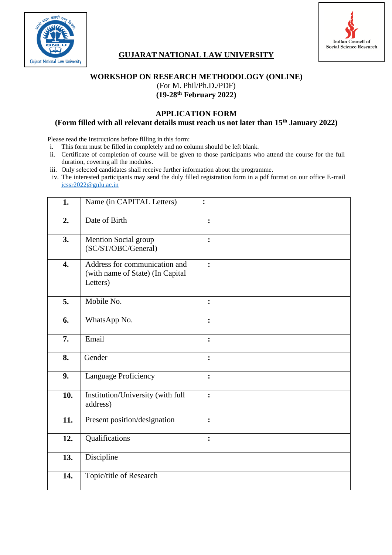



# **GUJARAT NATIONAL LAW UNIVERSITY**

#### **WORKSHOP ON RESEARCH METHODOLOGY (ONLINE)** (For M. Phil/Ph.D./PDF)

**(19-28th February 2022)**

#### **APPLICATION FORM (Form filled with all relevant details must reach us not later than 15th January 2022)**

Please read the Instructions before filling in this form:

- i. This form must be filled in completely and no column should be left blank.
- ii. Certificate of completion of course will be given to those participants who attend the course for the full duration, covering all the modules.
- iii. Only selected candidates shall receive further information about the programme.
- iv. The interested participants may send the duly filled registration form in a pdf format on our office E-mail [icssr2022@gnlu.ac.in](mailto:icssr2022@gnlu.ac.in)

| 1.                 | Name (in CAPITAL Letters)                                                     | $\ddot{\cdot}$ |  |
|--------------------|-------------------------------------------------------------------------------|----------------|--|
| 2.                 | Date of Birth                                                                 | $\ddot{\cdot}$ |  |
| 3.                 | Mention Social group<br>(SC/ST/OBC/General)                                   | $\ddot{\cdot}$ |  |
| $\boldsymbol{4}$ . | Address for communication and<br>(with name of State) (In Capital<br>Letters) | $\ddot{\cdot}$ |  |
| 5.                 | Mobile No.                                                                    | $\ddot{\cdot}$ |  |
| 6.                 | WhatsApp No.                                                                  | $\ddot{\cdot}$ |  |
| 7.                 | Email                                                                         | $\ddot{\cdot}$ |  |
| 8.                 | Gender                                                                        | $\ddot{\cdot}$ |  |
| 9.                 | Language Proficiency                                                          | $\ddot{\cdot}$ |  |
| 10.                | Institution/University (with full<br>address)                                 | $\ddot{\cdot}$ |  |
| 11.                | Present position/designation                                                  | $\ddot{\cdot}$ |  |
| 12.                | Qualifications                                                                | $\ddot{\cdot}$ |  |
| 13.                | Discipline                                                                    |                |  |
| 14.                | Topic/title of Research                                                       |                |  |